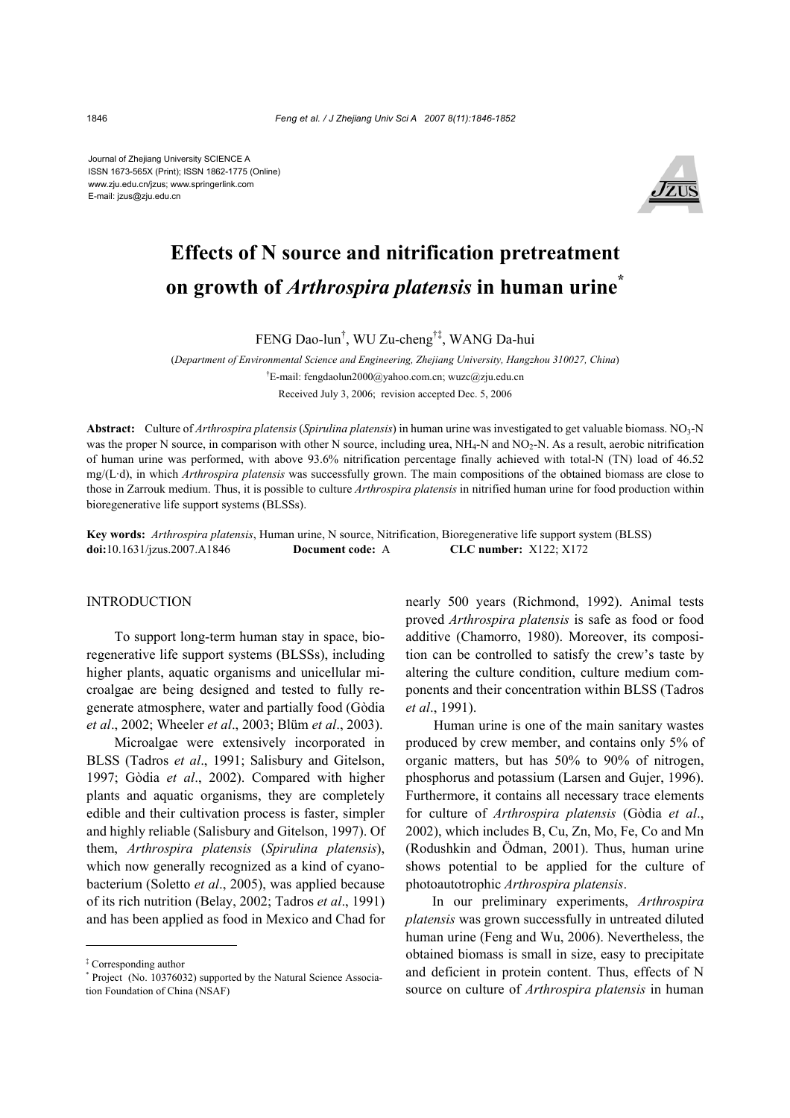Journal of Zhejiang University SCIENCE A ISSN 1673-565X (Print); ISSN 1862-1775 (Online) www.zju.edu.cn/jzus; www.springerlink.com E-mail: jzus@zju.edu.cn



# **Effects of N source and nitrification pretreatment on growth of** *Arthrospira platensis* **in human urine\***

FENG Dao-lun† , WU Zu-cheng†‡, WANG Da-hui

(*Department of Environmental Science and Engineering, Zhejiang University, Hangzhou 310027, China*) † E-mail: fengdaolun2000@yahoo.com.cn; wuzc@zju.edu.cn Received July 3, 2006; revision accepted Dec. 5, 2006

Abstract: Culture of *Arthrospira platensis* (*Spirulina platensis*) in human urine was investigated to get valuable biomass. NO<sub>3</sub>-N was the proper N source, in comparison with other N source, including urea,  $NH_4$ -N and  $NO_2$ -N. As a result, aerobic nitrification of human urine was performed, with above 93.6% nitrification percentage finally achieved with total-N (TN) load of 46.52 mg/(L·d), in which *Arthrospira platensis* was successfully grown. The main compositions of the obtained biomass are close to those in Zarrouk medium. Thus, it is possible to culture *Arthrospira platensis* in nitrified human urine for food production within bioregenerative life support systems (BLSSs).

**Key words:** *Arthrospira platensis*, Human urine, N source, Nitrification, Bioregenerative life support system (BLSS) **doi:**10.1631/jzus.2007.A1846 **Document code:** A **CLC number:** X122; X172

# INTRODUCTION

To support long-term human stay in space, bioregenerative life support systems (BLSSs), including higher plants, aquatic organisms and unicellular microalgae are being designed and tested to fully regenerate atmosphere, water and partially food (Gòdia *et al*., 2002; Wheeler *et al*., 2003; Blüm *et al*., 2003).

Microalgae were extensively incorporated in BLSS (Tadros *et al*., 1991; Salisbury and Gitelson, 1997; Gòdia *et al*., 2002). Compared with higher plants and aquatic organisms, they are completely edible and their cultivation process is faster, simpler and highly reliable (Salisbury and Gitelson, 1997). Of them, *Arthrospira platensis* (*Spirulina platensis*), which now generally recognized as a kind of cyanobacterium (Soletto *et al*., 2005), was applied because of its rich nutrition (Belay, 2002; Tadros *et al*., 1991) and has been applied as food in Mexico and Chad for

nearly 500 years (Richmond, 1992). Animal tests proved *Arthrospira platensis* is safe as food or food additive (Chamorro, 1980). Moreover, its composition can be controlled to satisfy the crew's taste by altering the culture condition, culture medium components and their concentration within BLSS (Tadros *et al*., 1991).

Human urine is one of the main sanitary wastes produced by crew member, and contains only 5% of organic matters, but has 50% to 90% of nitrogen, phosphorus and potassium (Larsen and Gujer, 1996). Furthermore, it contains all necessary trace elements for culture of *Arthrospira platensis* (Gòdia *et al*., 2002), which includes B, Cu, Zn, Mo, Fe, Co and Mn (Rodushkin and Ödman, 2001). Thus, human urine shows potential to be applied for the culture of photoautotrophic *Arthrospira platensis*.

In our preliminary experiments, *Arthrospira platensis* was grown successfully in untreated diluted human urine (Feng and Wu, 2006). Nevertheless, the obtained biomass is small in size, easy to precipitate and deficient in protein content. Thus, effects of N source on culture of *Arthrospira platensis* in human

<sup>‡</sup> Corresponding author

<sup>\*</sup> Project (No. 10376032) supported by the Natural Science Association Foundation of China (NSAF)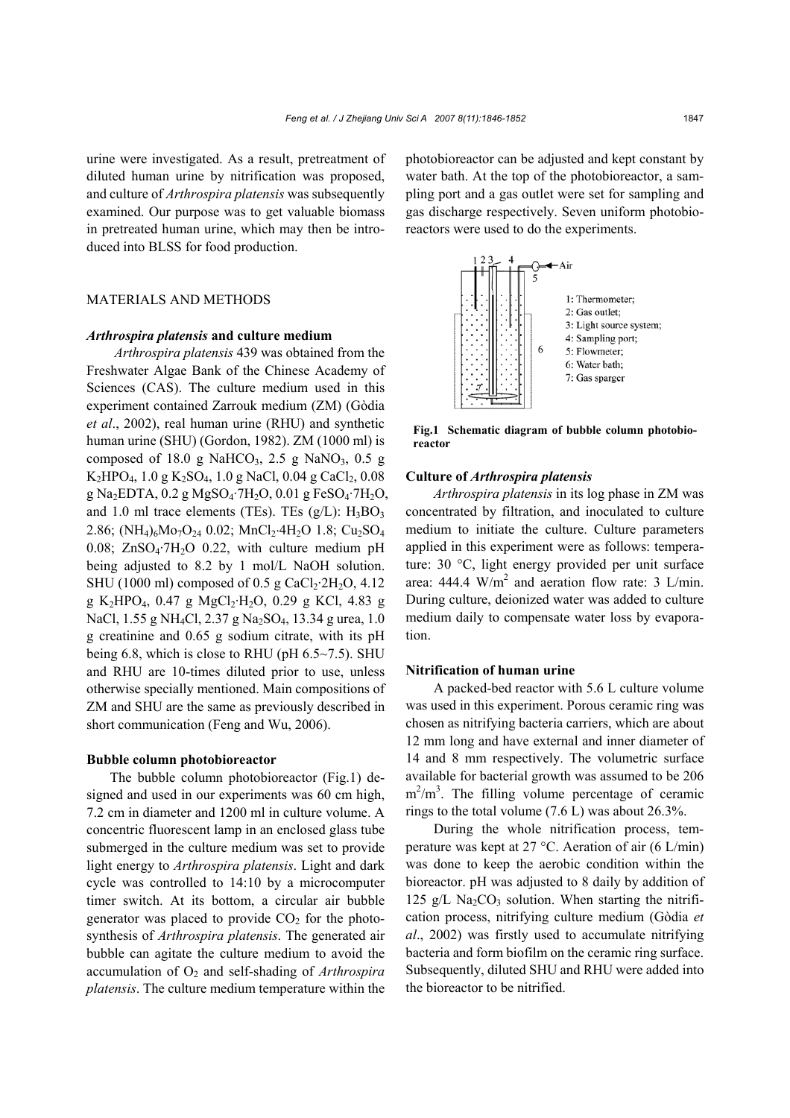urine were investigated. As a result, pretreatment of diluted human urine by nitrification was proposed, and culture of *Arthrospira platensis* was subsequently examined. Our purpose was to get valuable biomass in pretreated human urine, which may then be introduced into BLSS for food production.

# MATERIALS AND METHODS

## *Arthrospira platensis* **and culture medium**

*Arthrospira platensis* 439 was obtained from the Freshwater Algae Bank of the Chinese Academy of Sciences (CAS). The culture medium used in this experiment contained Zarrouk medium (ZM) (Gòdia *et al*., 2002), real human urine (RHU) and synthetic human urine (SHU) (Gordon, 1982). ZM (1000 ml) is composed of 18.0 g NaHCO<sub>3</sub>, 2.5 g NaNO<sub>3</sub>, 0.5 g  $K_2HPO_4$ , 1.0 g  $K_2SO_4$ , 1.0 g NaCl, 0.04 g CaCl<sub>2</sub>, 0.08 g Na2EDTA, 0.2 g MgSO4·7H2O, 0.01 g FeSO4·7H2O, and 1.0 ml trace elements (TEs). TEs  $(g/L)$ : H<sub>3</sub>BO<sub>3</sub> 2.86; (NH<sub>4</sub>)<sub>6</sub>Mo<sub>7</sub>O<sub>24</sub> 0.02; MnCl<sub>2</sub>⋅4H<sub>2</sub>O 1.8; Cu<sub>2</sub>SO<sub>4</sub> 0.08;  $ZnSO_4$ -7H<sub>2</sub>O 0.22, with culture medium pH being adjusted to 8.2 by 1 mol/L NaOH solution. SHU (1000 ml) composed of  $0.5$  g CaCl<sub>2</sub>·2H<sub>2</sub>O, 4.12 g K<sub>2</sub>HPO<sub>4</sub>, 0.47 g MgCl<sub>2</sub>·H<sub>2</sub>O, 0.29 g KCl, 4.83 g NaCl, 1.55 g NH<sub>4</sub>Cl, 2.37 g Na<sub>2</sub>SO<sub>4</sub>, 13.34 g urea, 1.0 g creatinine and 0.65 g sodium citrate, with its pH being 6.8, which is close to RHU (pH  $6.5 \sim 7.5$ ). SHU and RHU are 10-times diluted prior to use, unless otherwise specially mentioned. Main compositions of ZM and SHU are the same as previously described in short communication (Feng and Wu, 2006).

## **Bubble column photobioreactor**

The bubble column photobioreactor (Fig.1) designed and used in our experiments was 60 cm high, 7.2 cm in diameter and 1200 ml in culture volume. A concentric fluorescent lamp in an enclosed glass tube submerged in the culture medium was set to provide light energy to *Arthrospira platensis*. Light and dark cycle was controlled to 14:10 by a microcomputer timer switch. At its bottom, a circular air bubble generator was placed to provide  $CO<sub>2</sub>$  for the photosynthesis of *Arthrospira platensis*. The generated air bubble can agitate the culture medium to avoid the accumulation of  $O_2$  and self-shading of *Arthrospira platensis*. The culture medium temperature within the

photobioreactor can be adjusted and kept constant by water bath. At the top of the photobioreactor, a sampling port and a gas outlet were set for sampling and gas discharge respectively. Seven uniform photobioreactors were used to do the experiments.



**Fig.1 Schematic diagram of bubble column photobioreactor** 

## **Culture of** *Arthrospira platensis*

*Arthrospira platensis* in its log phase in ZM was concentrated by filtration, and inoculated to culture medium to initiate the culture. Culture parameters applied in this experiment were as follows: temperature: 30 °C, light energy provided per unit surface area: 444.4  $W/m^2$  and aeration flow rate: 3 L/min. During culture, deionized water was added to culture medium daily to compensate water loss by evaporation.

#### **Nitrification of human urine**

A packed-bed reactor with 5.6 L culture volume was used in this experiment. Porous ceramic ring was chosen as nitrifying bacteria carriers, which are about 12 mm long and have external and inner diameter of 14 and 8 mm respectively. The volumetric surface available for bacterial growth was assumed to be 206  $m^2/m^3$ . The filling volume percentage of ceramic rings to the total volume (7.6 L) was about 26.3%.

During the whole nitrification process, temperature was kept at 27 °C. Aeration of air (6 L/min) was done to keep the aerobic condition within the bioreactor. pH was adjusted to 8 daily by addition of 125 g/L Na<sub>2</sub>CO<sub>3</sub> solution. When starting the nitrification process, nitrifying culture medium (Gòdia *et al*., 2002) was firstly used to accumulate nitrifying bacteria and form biofilm on the ceramic ring surface. Subsequently, diluted SHU and RHU were added into the bioreactor to be nitrified.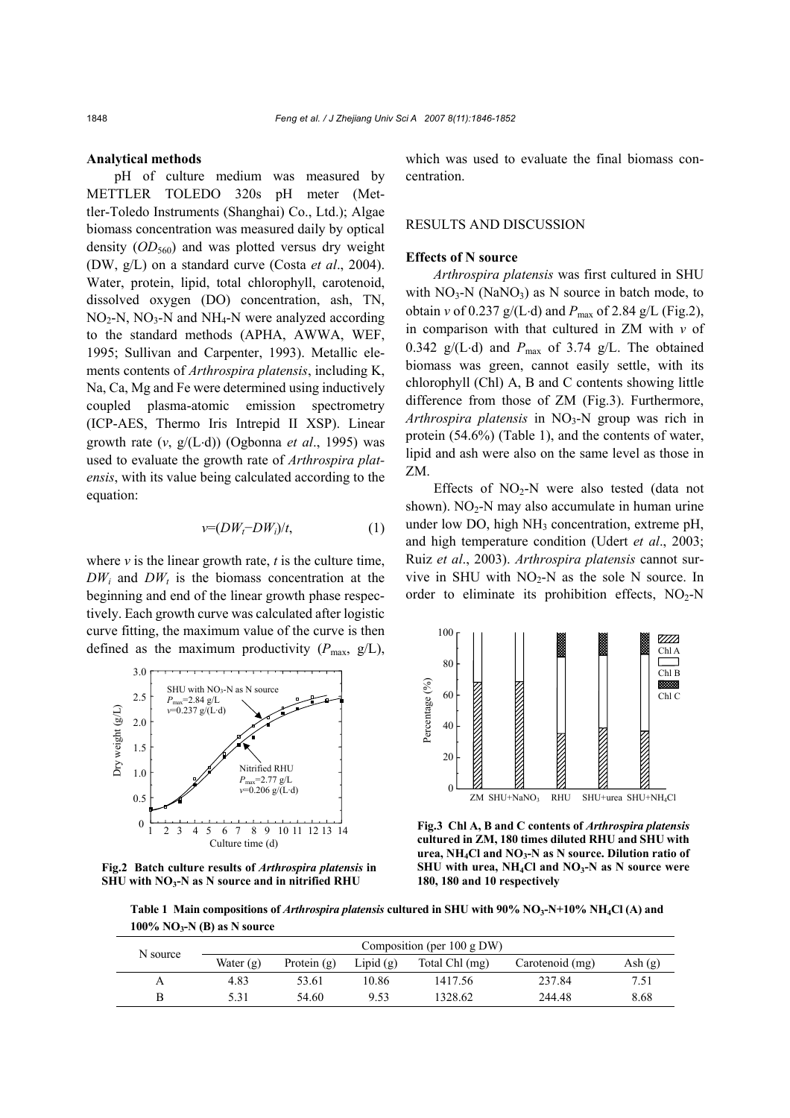#### **Analytical methods**

pH of culture medium was measured by METTLER TOLEDO 320s pH meter (Mettler-Toledo Instruments (Shanghai) Co., Ltd.); Algae biomass concentration was measured daily by optical density  $(OD_{560})$  and was plotted versus dry weight (DW, g/L) on a standard curve (Costa *et al*., 2004). Water, protein, lipid, total chlorophyll, carotenoid, dissolved oxygen (DO) concentration, ash, TN,  $NO<sub>2</sub>-N$ ,  $NO<sub>3</sub>-N$  and  $NH<sub>4</sub>-N$  were analyzed according to the standard methods (APHA, AWWA, WEF, 1995; Sullivan and Carpenter, 1993). Metallic elements contents of *Arthrospira platensis*, including K, Na, Ca, Mg and Fe were determined using inductively coupled plasma-atomic emission spectrometry (ICP-AES, Thermo Iris Intrepid II XSP). Linear growth rate (*v*, g/(L⋅d)) (Ogbonna *et al*., 1995) was used to evaluate the growth rate of *Arthrospira platensis*, with its value being calculated according to the equation:

$$
v = (DW_t - DW_i)/t, \tag{1}
$$

where  $\nu$  is the linear growth rate,  $t$  is the culture time,  $DW_i$  and  $DW_j$  is the biomass concentration at the beginning and end of the linear growth phase respectively. Each growth curve was calculated after logistic curve fitting, the maximum value of the curve is then defined as the maximum productivity  $(P_{\text{max}}, g/L)$ ,



**Fig.2 Batch culture results of** *Arthrospira platensis* **in SHU with NO3-N as N source and in nitrified RHU** 

which was used to evaluate the final biomass concentration.

# RESULTS AND DISCUSSION

# **Effects of N source**

*Arthrospira platensis* was first cultured in SHU with  $NO_3-N$  (NaNO<sub>3</sub>) as N source in batch mode, to obtain *v* of 0.237 g/(L⋅d) and *P*max of 2.84 g/L (Fig.2), in comparison with that cultured in ZM with *v* of 0.342 g/(L⋅d) and  $P_{\text{max}}$  of 3.74 g/L. The obtained biomass was green, cannot easily settle, with its chlorophyll (Chl) A, B and C contents showing little difference from those of ZM (Fig.3). Furthermore, *Arthrospira platensis* in NO3-N group was rich in protein (54.6%) (Table 1), and the contents of water, lipid and ash were also on the same level as those in ZM.

Effects of  $NO<sub>2</sub>-N$  were also tested (data not shown).  $NO<sub>2</sub>-N$  may also accumulate in human urine under low DO, high  $NH<sub>3</sub>$  concentration, extreme pH, and high temperature condition (Udert *et al*., 2003; Ruiz *et al*., 2003). *Arthrospira platensis* cannot survive in SHU with  $NO<sub>2</sub>-N$  as the sole N source. In order to eliminate its prohibition effects,  $NO<sub>2</sub>-N$ 



**Fig.3 Chl A, B and C contents of** *Arthrospira platensis* **cultured in ZM, 180 times diluted RHU and SHU with urea, NH4Cl and NO3-N as N source. Dilution ratio of**  SHU with urea,  $NH<sub>4</sub>Cl$  and  $NO<sub>3</sub>-N$  as N source were **180, 180 and 10 respectively** 

Table 1 Main compositions of *Arthrospira platensis* cultured in SHU with 90% NO<sub>3</sub>-N+10% NH<sub>4</sub>Cl (A) and **100% NO3-N (B) as N source** 

| N source |             | Composition (per $100 \text{ g DW}$ ) |             |                |                 |           |  |
|----------|-------------|---------------------------------------|-------------|----------------|-----------------|-----------|--|
|          | Water $(g)$ | Protein $(g)$                         | Lipid $(g)$ | Total Chl (mg) | Carotenoid (mg) | Ash $(g)$ |  |
| А        | 4.83        | 53.61                                 | 10.86       | 1417.56        | 237.84          | 7.51      |  |
|          | 5.31        | 54.60                                 | 9.53        | 1328.62        | 244.48          | 8.68      |  |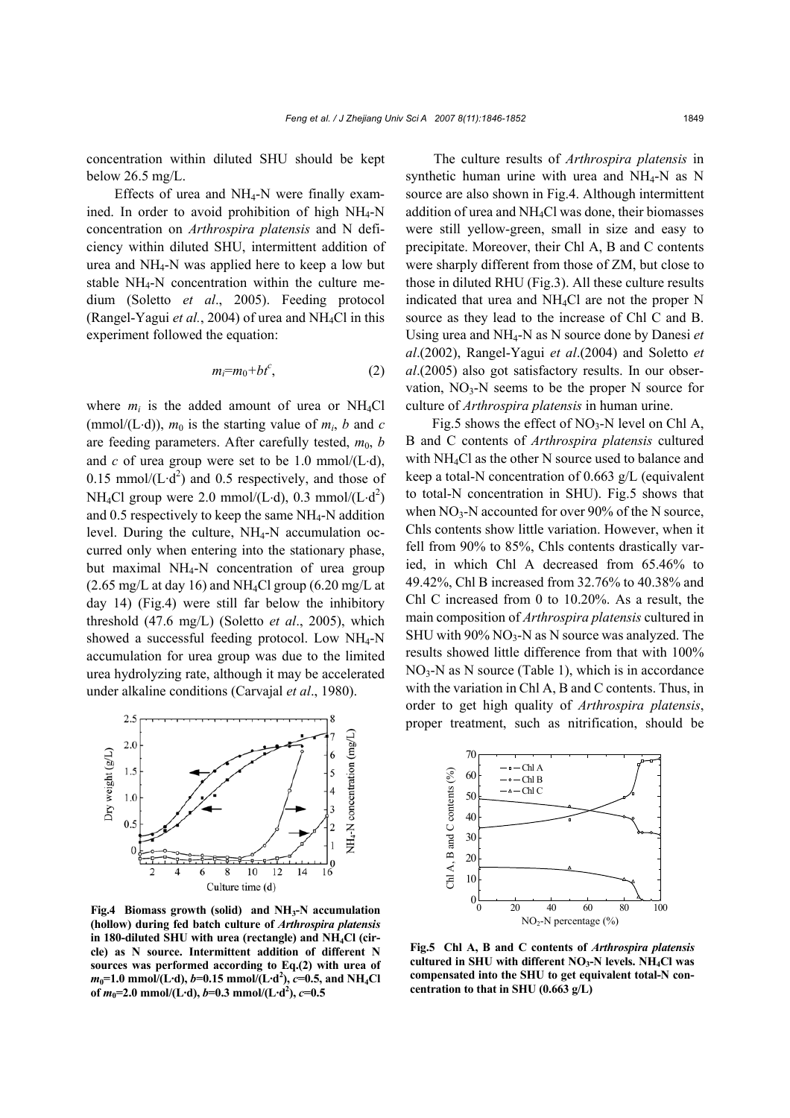concentration within diluted SHU should be kept below 26.5 mg/L.

Effects of urea and  $NH_4$ -N were finally examined. In order to avoid prohibition of high  $NH_4-N$ concentration on *Arthrospira platensis* and N deficiency within diluted SHU, intermittent addition of urea and NH4-N was applied here to keep a low but stable NH4-N concentration within the culture medium (Soletto *et al*., 2005). Feeding protocol (Rangel-Yagui *et al.*, 2004) of urea and NH<sub>4</sub>Cl in this experiment followed the equation:

$$
m_i = m_0 + bt^c,\tag{2}
$$

where  $m_i$  is the added amount of urea or NH<sub>4</sub>Cl (mmol/(L⋅d)),  $m_0$  is the starting value of  $m_i$ ,  $b$  and  $c$ are feeding parameters. After carefully tested,  $m_0$ , *b* and *c* of urea group were set to be 1.0 mmol/(L⋅d), 0.15 mmol/ $(L \cdot d^2)$  and 0.5 respectively, and those of NH<sub>4</sub>Cl group were 2.0 mmol/(L⋅d), 0.3 mmol/(L⋅d<sup>2</sup>) and 0.5 respectively to keep the same NH4-N addition level. During the culture,  $NH_4-N$  accumulation occurred only when entering into the stationary phase, but maximal  $NH_4-N$  concentration of urea group  $(2.65 \text{ mg/L at day 16})$  and NH<sub>4</sub>Cl group  $(6.20 \text{ mg/L at}$ day 14) (Fig.4) were still far below the inhibitory threshold (47.6 mg/L) (Soletto *et al*., 2005), which showed a successful feeding protocol. Low NH<sub>4</sub>-N accumulation for urea group was due to the limited urea hydrolyzing rate, although it may be accelerated under alkaline conditions (Carvajal *et al*., 1980).



**Fig.4 Biomass growth (solid) and NH3-N accumulation (hollow) during fed batch culture of** *Arthrospira platensis* in 180-diluted SHU with urea (rectangle) and NH<sub>4</sub>Cl (cir**cle) as N source. Intermittent addition of different N sources was performed according to Eq.(2) with urea of** *m***0=1.0 mmol/(L·d),** *b***=0.15 mmol/(L·d2 ),** *c***=0.5, and NH4Cl of** *m***0=2.0 mmol/(L·d),** *b***=0.3 mmol/(L·d2 ),** *c***=0.5**

The culture results of *Arthrospira platensis* in synthetic human urine with urea and NH4-N as N source are also shown in Fig.4. Although intermittent addition of urea and NH4Cl was done, their biomasses were still yellow-green, small in size and easy to precipitate. Moreover, their Chl A, B and C contents were sharply different from those of ZM, but close to those in diluted RHU (Fig.3). All these culture results indicated that urea and NH4Cl are not the proper N source as they lead to the increase of Chl C and B. Using urea and NH4-N as N source done by Danesi *et al*.(2002), Rangel-Yagui *et al*.(2004) and Soletto *et al*.(2005) also got satisfactory results. In our observation,  $NO_3-N$  seems to be the proper N source for culture of *Arthrospira platensis* in human urine.

Fig.5 shows the effect of  $NO<sub>3</sub>-N$  level on Chl A, B and C contents of *Arthrospira platensis* cultured with NH4Cl as the other N source used to balance and keep a total-N concentration of 0.663 g/L (equivalent to total-N concentration in SHU). Fig.5 shows that when  $NO_3$ -N accounted for over 90% of the N source, Chls contents show little variation. However, when it fell from 90% to 85%, Chls contents drastically varied, in which Chl A decreased from 65.46% to 49.42%, Chl B increased from 32.76% to 40.38% and Chl C increased from 0 to 10.20%. As a result, the main composition of *Arthrospira platensis* cultured in SHU with  $90\%$  NO<sub>3</sub>-N as N source was analyzed. The results showed little difference from that with 100%  $NO<sub>3</sub>-N$  as N source (Table 1), which is in accordance with the variation in Chl A, B and C contents. Thus, in order to get high quality of *Arthrospira platensis*, proper treatment, such as nitrification, should be



**Fig.5 Chl A, B and C contents of** *Arthrospira platensis* **cultured in SHU with different NO3-N levels. NH4Cl was compensated into the SHU to get equivalent total-N concentration to that in SHU (0.663 g/L)**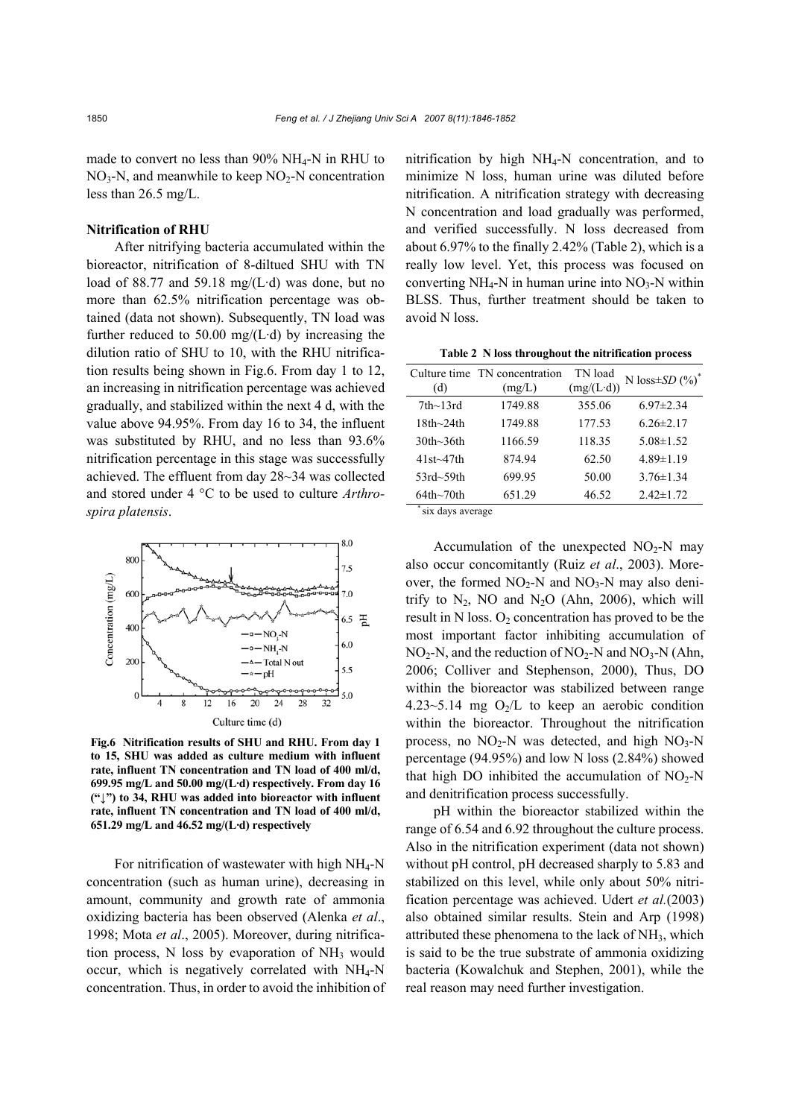made to convert no less than 90% NH<sub>4</sub>-N in RHU to  $NO<sub>3</sub>-N$ , and meanwhile to keep  $NO<sub>2</sub>-N$  concentration less than 26.5 mg/L.

# **Nitrification of RHU**

After nitrifying bacteria accumulated within the bioreactor, nitrification of 8-diltued SHU with TN load of 88.77 and 59.18 mg/(L·d) was done, but no more than 62.5% nitrification percentage was obtained (data not shown). Subsequently, TN load was further reduced to 50.00 mg/(L·d) by increasing the dilution ratio of SHU to 10, with the RHU nitrification results being shown in Fig.6. From day 1 to 12, an increasing in nitrification percentage was achieved gradually, and stabilized within the next 4 d, with the value above 94.95%. From day 16 to 34, the influent was substituted by RHU, and no less than 93.6% nitrification percentage in this stage was successfully achieved. The effluent from day 28~34 was collected and stored under 4 °C to be used to culture *Arthrospira platensis*.



**Fig.6 Nitrification results of SHU and RHU. From day 1 to 15, SHU was added as culture medium with influent rate, influent TN concentration and TN load of 400 ml/d, 699.95 mg/L and 50.00 mg/(L·d) respectively. From day 16 ("↓") to 34, RHU was added into bioreactor with influent rate, influent TN concentration and TN load of 400 ml/d, 651.29 mg/L and 46.52 mg/(L·d) respectively** 

For nitrification of wastewater with high NH4-N concentration (such as human urine), decreasing in amount, community and growth rate of ammonia oxidizing bacteria has been observed (Alenka *et al*., 1998; Mota *et al*., 2005). Moreover, during nitrification process,  $N$  loss by evaporation of  $NH<sub>3</sub>$  would occur, which is negatively correlated with NH4-N concentration. Thus, in order to avoid the inhibition of nitrification by high NH4-N concentration, and to minimize N loss, human urine was diluted before nitrification. A nitrification strategy with decreasing N concentration and load gradually was performed, and verified successfully. N loss decreased from about 6.97% to the finally 2.42% (Table 2), which is a really low level. Yet, this process was focused on converting  $NH_4-N$  in human urine into  $NO_3-N$  within BLSS. Thus, further treatment should be taken to avoid N loss.

**Table 2 N loss throughout the nitrification process** 

| (d)              | Culture time TN concentration<br>(mg/L) | TN load<br>$(mg/(L \cdot d))$ | N loss $\pm SD(%)^*$ |
|------------------|-----------------------------------------|-------------------------------|----------------------|
| $7th$ ~13rd      | 1749.88                                 | 355.06                        | $6.97 \pm 2.34$      |
| $18th$ ~24th     | 1749.88                                 | 177.53                        | $626\pm217$          |
| $30th$ ~36th     | 1166.59                                 | 118.35                        | $5.08 \pm 1.52$      |
| $41st \sim 47th$ | 874.94                                  | 62.50                         | $4.89 \pm 1.19$      |
| $53rd - 59th$    | 699.95                                  | 50.00                         | $3.76 \pm 1.34$      |
| $64th$ ~70th     | 651.29                                  | 46.52                         | $2.42 \pm 1.72$      |

six days average

Accumulation of the unexpected  $NO<sub>2</sub>-N$  may also occur concomitantly (Ruiz *et al*., 2003). Moreover, the formed  $NO<sub>2</sub>$ -N and  $NO<sub>3</sub>$ -N may also denitrify to  $N_2$ , NO and  $N_2O$  (Ahn, 2006), which will result in N loss.  $O_2$  concentration has proved to be the most important factor inhibiting accumulation of  $NO<sub>2</sub>-N$ , and the reduction of  $NO<sub>2</sub>-N$  and  $NO<sub>3</sub>-N$  (Ahn, 2006; Colliver and Stephenson, 2000), Thus, DO within the bioreactor was stabilized between range 4.23~5.14 mg  $O<sub>2</sub>/L$  to keep an aerobic condition within the bioreactor. Throughout the nitrification process, no  $NO<sub>2</sub>-N$  was detected, and high  $NO<sub>3</sub>-N$ percentage (94.95%) and low N loss (2.84%) showed that high DO inhibited the accumulation of  $NO<sub>2</sub>-N$ and denitrification process successfully.

pH within the bioreactor stabilized within the range of 6.54 and 6.92 throughout the culture process. Also in the nitrification experiment (data not shown) without pH control, pH decreased sharply to 5.83 and stabilized on this level, while only about 50% nitrification percentage was achieved. Udert *et al.*(2003) also obtained similar results. Stein and Arp (1998) attributed these phenomena to the lack of  $NH<sub>3</sub>$ , which is said to be the true substrate of ammonia oxidizing bacteria (Kowalchuk and Stephen, 2001), while the real reason may need further investigation.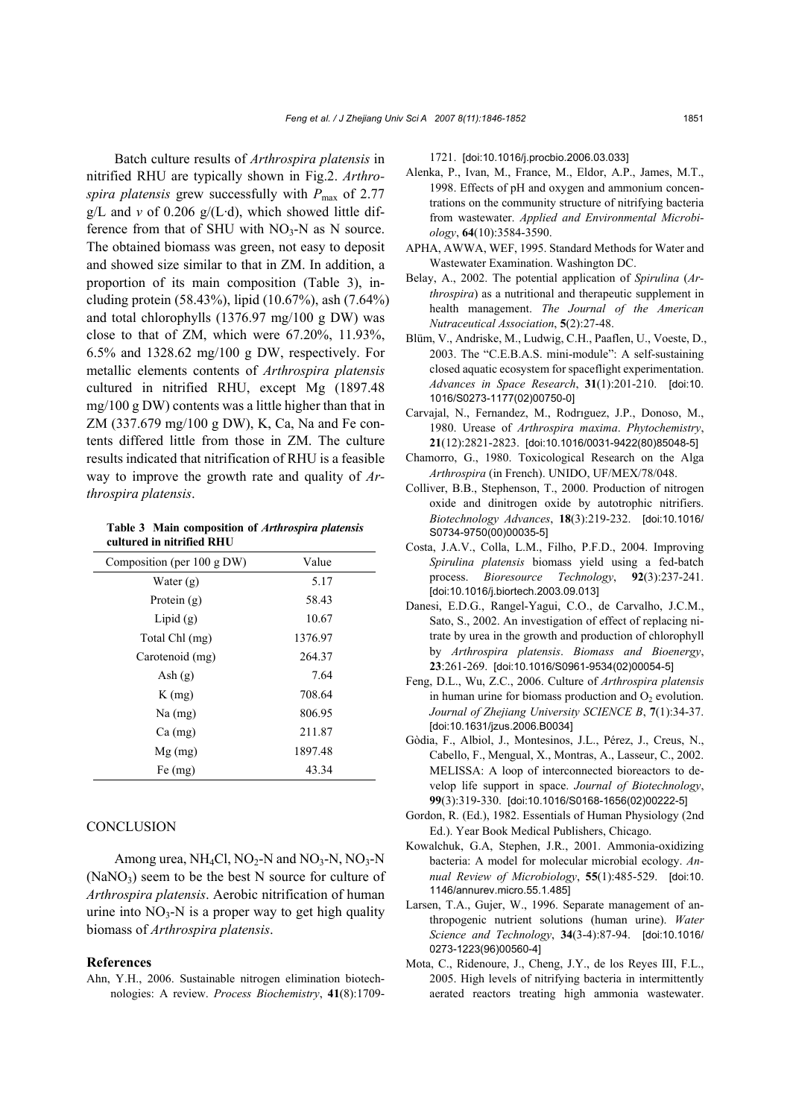Batch culture results of *Arthrospira platensis* in nitrified RHU are typically shown in Fig.2. *Arthrospira platensis* grew successfully with *P*max of 2.77  $g/L$  and *v* of 0.206  $g/(L \cdot d)$ , which showed little difference from that of SHU with  $NO<sub>3</sub>-N$  as N source. The obtained biomass was green, not easy to deposit and showed size similar to that in ZM. In addition, a proportion of its main composition (Table 3), including protein (58.43%), lipid (10.67%), ash (7.64%) and total chlorophylls (1376.97 mg/100 g DW) was close to that of ZM, which were 67.20%, 11.93%, 6.5% and 1328.62 mg/100 g DW, respectively. For metallic elements contents of *Arthrospira platensis* cultured in nitrified RHU, except Mg (1897.48 mg/100 g DW) contents was a little higher than that in ZM (337.679 mg/100 g DW), K, Ca, Na and Fe contents differed little from those in ZM. The culture results indicated that nitrification of RHU is a feasible way to improve the growth rate and quality of *Arthrospira platensis*.

**Table 3 Main composition of** *Arthrospira platensis* **cultured in nitrified RHU** 

| Composition (per $100 \text{ g DW}$ ) | Value   |
|---------------------------------------|---------|
| Water $(g)$                           | 5.17    |
| Protein $(g)$                         | 58.43   |
| Lipid $(g)$                           | 10.67   |
| Total Chl (mg)                        | 1376.97 |
| Carotenoid (mg)                       | 264.37  |
| Ash $(g)$                             | 7.64    |
| $K$ (mg)                              | 708.64  |
| $Na$ (mg)                             | 806.95  |
| $Ca$ (mg)                             | 211.87  |
| $Mg$ (mg)                             | 1897.48 |
| $Fe$ (mg)                             | 43.34   |

# **CONCLUSION**

Among urea,  $NH_4Cl$ ,  $NO_2-N$  and  $NO_3-N$ ,  $NO_3-N$  $(NaNO<sub>3</sub>)$  seem to be the best N source for culture of *Arthrospira platensis*. Aerobic nitrification of human urine into  $NO_3-N$  is a proper way to get high quality biomass of *Arthrospira platensis*.

#### **References**

Ahn, Y.H., 2006. Sustainable nitrogen elimination biotechnologies: A review. *Process Biochemistry*, **41**(8):17091721. [doi:10.1016/j.procbio.2006.03.033]

- Alenka, P., Ivan, M., France, M., Eldor, A.P., James, M.T., 1998. Effects of pH and oxygen and ammonium concentrations on the community structure of nitrifying bacteria from wastewater. *Applied and Environmental Microbiology*, **64**(10):3584-3590.
- APHA, AWWA, WEF, 1995. Standard Methods for Water and Wastewater Examination. Washington DC.
- Belay, A., 2002. The potential application of *Spirulina* (*Arthrospira*) as a nutritional and therapeutic supplement in health management. *The Journal of the American Nutraceutical Association*, **5**(2):27-48.
- Blüm, V., Andriske, M., Ludwig, C.H., Paaflen, U., Voeste, D., 2003. The "C.E.B.A.S. mini-module": A self-sustaining closed aquatic ecosystem for spaceflight experimentation. *Advances in Space Research*, **31**(1):201-210. [doi:10. 1016/S0273-1177(02)00750-0]
- Carvajal, N., Fernandez, M., Rodrıguez, J.P., Donoso, M., 1980. Urease of *Arthrospira maxima*. *Phytochemistry*, **21**(12):2821-2823. [doi:10.1016/0031-9422(80)85048-5]
- Chamorro, G., 1980. Toxicological Research on the Alga *Arthrospira* (in French). UNIDO, UF/MEX/78/048.
- Colliver, B.B., Stephenson, T., 2000. Production of nitrogen oxide and dinitrogen oxide by autotrophic nitrifiers. *Biotechnology Advances*, **18**(3):219-232. [doi:10.1016/ S0734-9750(00)00035-5]
- Costa, J.A.V., Colla, L.M., Filho, P.F.D., 2004. Improving *Spirulina platensis* biomass yield using a fed-batch process. *Bioresource Technology*, **92**(3):237-241. [doi:10.1016/j.biortech.2003.09.013]
- Danesi, E.D.G., Rangel-Yagui, C.O., de Carvalho, J.C.M., Sato, S., 2002. An investigation of effect of replacing nitrate by urea in the growth and production of chlorophyll by *Arthrospira platensis*. *Biomass and Bioenergy*, **23**:261-269. [doi:10.1016/S0961-9534(02)00054-5]
- Feng, D.L., Wu, Z.C., 2006. Culture of *Arthrospira platensis* in human urine for biomass production and  $O_2$  evolution. *Journal of Zhejiang University SCIENCE B*, **7**(1):34-37. [doi:10.1631/jzus.2006.B0034]
- Gòdia, F., Albiol, J., Montesinos, J.L., Pérez, J., Creus, N., Cabello, F., Mengual, X., Montras, A., Lasseur, C., 2002. MELISSA: A loop of interconnected bioreactors to develop life support in space. *Journal of Biotechnology*, **99**(3):319-330. [doi:10.1016/S0168-1656(02)00222-5]
- Gordon, R. (Ed.), 1982. Essentials of Human Physiology (2nd Ed.). Year Book Medical Publishers, Chicago.
- Kowalchuk, G.A, Stephen, J.R., 2001. Ammonia-oxidizing bacteria: A model for molecular microbial ecology. *Annual Review of Microbiology*, **55**(1):485-529. [doi:10. 1146/annurev.micro.55.1.485]
- Larsen, T.A., Gujer, W., 1996. Separate management of anthropogenic nutrient solutions (human urine). *Water Science and Technology*, **34**(3-4):87-94. [doi:10.1016/ 0273-1223(96)00560-4]
- Mota, C., Ridenoure, J., Cheng, J.Y., de los Reyes III, F.L., 2005. High levels of nitrifying bacteria in intermittently aerated reactors treating high ammonia wastewater.